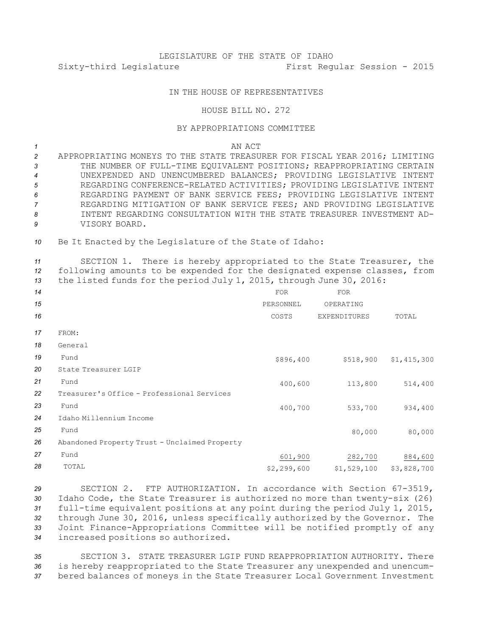## IN THE HOUSE OF REPRESENTATIVES

## HOUSE BILL NO. 272

## BY APPROPRIATIONS COMMITTEE

*1* AN ACT

 APPROPRIATING MONEYS TO THE STATE TREASURER FOR FISCAL YEAR 2016; LIMITING THE NUMBER OF FULL-TIME EQUIVALENT POSITIONS; REAPPROPRIATING CERTAIN UNEXPENDED AND UNENCUMBERED BALANCES; PROVIDING LEGISLATIVE INTENT REGARDING CONFERENCE-RELATED ACTIVITIES; PROVIDING LEGISLATIVE INTENT REGARDING PAYMENT OF BANK SERVICE FEES; PROVIDING LEGISLATIVE INTENT REGARDING MITIGATION OF BANK SERVICE FEES; AND PROVIDING LEGISLATIVE INTENT REGARDING CONSULTATION WITH THE STATE TREASURER INVESTMENT AD-VISORY BOARD.

*<sup>10</sup>* Be It Enacted by the Legislature of the State of Idaho:

*<sup>11</sup>* SECTION 1. There is hereby appropriated to the State Treasurer, the *<sup>12</sup>* following amounts to be expended for the designated expense classes, from *<sup>13</sup>* the listed funds for the period July 1, 2015, through June 30, 2016:

| 14 |                                               | <b>FOR</b>  | <b>FOR</b>          |             |
|----|-----------------------------------------------|-------------|---------------------|-------------|
| 15 |                                               | PERSONNEL   | OPERATING           |             |
| 16 |                                               | COSTS       | <b>EXPENDITURES</b> | TOTAL       |
| 17 | FROM:                                         |             |                     |             |
| 18 | General                                       |             |                     |             |
| 19 | Fund                                          | \$896,400   | \$518,900           | \$1,415,300 |
| 20 | State Treasurer LGIP                          |             |                     |             |
| 21 | Fund                                          | 400,600     | 113,800             | 514,400     |
| 22 | Treasurer's Office - Professional Services    |             |                     |             |
| 23 | Fund                                          | 400,700     | 533,700             | 934,400     |
| 24 | Idaho Millennium Income                       |             |                     |             |
| 25 | Fund                                          |             | 80,000              | 80,000      |
| 26 | Abandoned Property Trust - Unclaimed Property |             |                     |             |
| 27 | Fund                                          | 601,900     | 282,700             | 884,600     |
| 28 | TOTAL                                         | \$2,299,600 | \$1,529,100         | \$3,828,700 |
|    |                                               |             |                     |             |

 SECTION 2. FTP AUTHORIZATION. In accordance with Section 67-3519, Idaho Code, the State Treasurer is authorized no more than twenty-six (26) full-time equivalent positions at any point during the period July 1, 2015, through June 30, 2016, unless specifically authorized by the Governor. The Joint Finance-Appropriations Committee will be notified promptly of any increased positions so authorized.

*35* SECTION 3. STATE TREASURER LGIP FUND REAPPROPRIATION AUTHORITY. There *<sup>36</sup>* is hereby reappropriated to the State Treasurer any unexpended and unencum-*<sup>37</sup>* bered balances of moneys in the State Treasurer Local Government Investment